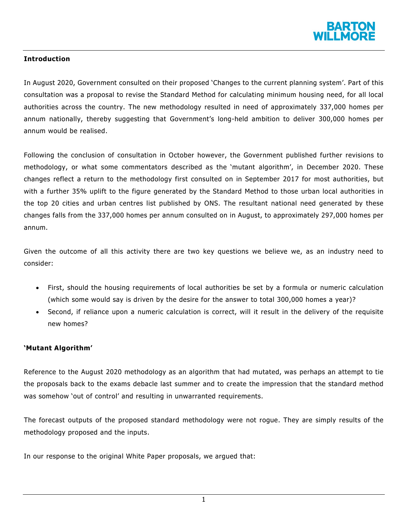

# **Introduction**

In August 2020, Government consulted on their proposed 'Changes to the current planning system'. Part of this consultation was a proposal to revise the Standard Method for calculating minimum housing need, for all local authorities across the country. The new methodology resulted in need of approximately 337,000 homes per annum nationally, thereby suggesting that Government's long-held ambition to deliver 300,000 homes per annum would be realised.

Following the conclusion of consultation in October however, the Government published further revisions to methodology, or what some commentators described as the 'mutant algorithm', in December 2020. These changes reflect a return to the methodology first consulted on in September 2017 for most authorities, but with a further 35% uplift to the figure generated by the Standard Method to those urban local authorities in the top 20 cities and urban centres list published by ONS. The resultant national need generated by these changes falls from the 337,000 homes per annum consulted on in August, to approximately 297,000 homes per annum.

Given the outcome of all this activity there are two key questions we believe we, as an industry need to consider:

- First, should the housing requirements of local authorities be set by a formula or numeric calculation (which some would say is driven by the desire for the answer to total 300,000 homes a year)?
- Second, if reliance upon a numeric calculation is correct, will it result in the delivery of the requisite new homes?

### **'Mutant Algorithm'**

Reference to the August 2020 methodology as an algorithm that had mutated, was perhaps an attempt to tie the proposals back to the exams debacle last summer and to create the impression that the standard method was somehow 'out of control' and resulting in unwarranted requirements.

The forecast outputs of the proposed standard methodology were not rogue. They are simply results of the methodology proposed and the inputs.

In our response to the original White Paper proposals, we argued that:

1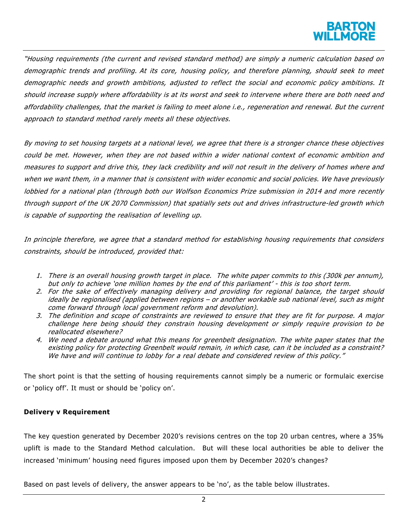"Housing requirements (the current and revised standard method) are simply a numeric calculation based on demographic trends and profiling. At its core, housing policy, and therefore planning, should seek to meet demographic needs and growth ambitions, adjusted to reflect the social and economic policy ambitions. It should increase supply where affordability is at its worst and seek to intervene where there are both need and affordability challenges, that the market is failing to meet alone i.e., regeneration and renewal. But the current approach to standard method rarely meets all these objectives.

By moving to set housing targets at a national level, we agree that there is a stronger chance these objectives could be met. However, when they are not based within a wider national context of economic ambition and measures to support and drive this, they lack credibility and will not result in the delivery of homes where and when we want them, in a manner that is consistent with wider economic and social policies. We have previously lobbied for a national plan (through both our Wolfson Economics Prize submission in 2014 and more recently through support of the UK 2070 Commission) that spatially sets out and drives infrastructure-led growth which is capable of supporting the realisation of levelling up.

In principle therefore, we agree that a standard method for establishing housing requirements that considers constraints, should be introduced, provided that:

- 1. There is an overall housing growth target in place. The white paper commits to this (300k per annum), but only to achieve 'one million homes by the end of this parliament' - this is too short term.
- 2. For the sake of effectively managing delivery and providing for regional balance, the target should ideally be regionalised (applied between regions – or another workable sub national level, such as might come forward through local government reform and devolution).
- 3. The definition and scope of constraints are reviewed to ensure that they are fit for purpose. A major challenge here being should they constrain housing development or simply require provision to be reallocated elsewhere?
- 4. We need a debate around what this means for greenbelt designation. The white paper states that the existing policy for protecting Greenbelt would remain, in which case, can it be included as a constraint? We have and will continue to lobby for a real debate and considered review of this policy."

The short point is that the setting of housing requirements cannot simply be a numeric or formulaic exercise or 'policy off'. It must or should be 'policy on'.

# **Delivery v Requirement**

The key question generated by December 2020's revisions centres on the top 20 urban centres, where a 35% uplift is made to the Standard Method calculation. But will these local authorities be able to deliver the increased 'minimum' housing need figures imposed upon them by December 2020's changes?

Based on past levels of delivery, the answer appears to be 'no', as the table below illustrates.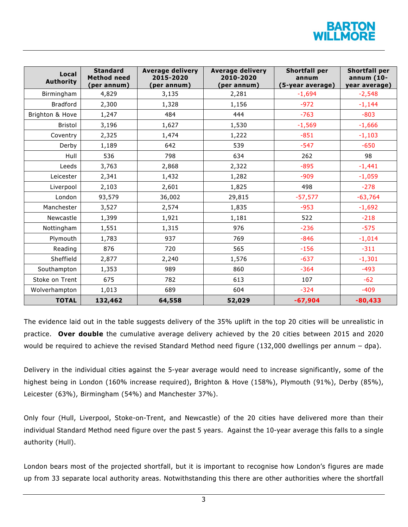

| Local<br><b>Authority</b> | <b>Standard</b><br><b>Method need</b><br>(per annum) | <b>Average delivery</b><br>2015-2020<br>(per annum) | <b>Average delivery</b><br>2010-2020<br>(per annum) | <b>Shortfall per</b><br>annum<br>(5-year average) | <b>Shortfall per</b><br>annum (10-<br>year average) |
|---------------------------|------------------------------------------------------|-----------------------------------------------------|-----------------------------------------------------|---------------------------------------------------|-----------------------------------------------------|
| Birmingham                | 4,829                                                | 3,135                                               | 2,281                                               | $-1,694$                                          | $-2,548$                                            |
| <b>Bradford</b>           | 2,300                                                | 1,328                                               | 1,156                                               | $-972$                                            | $-1,144$                                            |
| Brighton & Hove           | 1,247                                                | 484                                                 | 444                                                 | $-763$                                            | $-803$                                              |
| <b>Bristol</b>            | 3,196                                                | 1,627                                               | 1,530                                               | $-1,569$                                          | $-1,666$                                            |
| Coventry                  | 2,325                                                | 1,474                                               | 1,222                                               | $-851$                                            | $-1,103$                                            |
| Derby                     | 1,189                                                | 642                                                 | 539                                                 | $-547$                                            | $-650$                                              |
| Hull                      | 536                                                  | 798                                                 | 634                                                 | 262                                               | 98                                                  |
| Leeds                     | 3,763                                                | 2,868                                               | 2,322                                               | $-895$                                            | $-1,441$                                            |
| Leicester                 | 2,341                                                | 1,432                                               | 1,282                                               | $-909$                                            | $-1,059$                                            |
| Liverpool                 | 2,103                                                | 2,601                                               | 1,825                                               | 498                                               | $-278$                                              |
| London                    | 93,579                                               | 36,002                                              | 29,815                                              | $-57,577$                                         | $-63,764$                                           |
| Manchester                | 3,527                                                | 2,574                                               | 1,835                                               | $-953$                                            | $-1,692$                                            |
| Newcastle                 | 1,399                                                | 1,921                                               | 1,181                                               | 522                                               | $-218$                                              |
| Nottingham                | 1,551                                                | 1,315                                               | 976                                                 | $-236$                                            | $-575$                                              |
| Plymouth                  | 1,783                                                | 937                                                 | 769                                                 | $-846$                                            | $-1,014$                                            |
| Reading                   | 876                                                  | 720                                                 | 565                                                 | $-156$                                            | $-311$                                              |
| Sheffield                 | 2,877                                                | 2,240                                               | 1,576                                               | $-637$                                            | $-1,301$                                            |
| Southampton               | 1,353                                                | 989                                                 | 860                                                 | $-364$                                            | $-493$                                              |
| Stoke on Trent            | 675                                                  | 782                                                 | 613                                                 | 107                                               | $-62$                                               |
| Wolverhampton             | 1,013                                                | 689                                                 | 604                                                 | $-324$                                            | $-409$                                              |
| <b>TOTAL</b>              | 132,462                                              | 64,558                                              | 52,029                                              | $-67,904$                                         | $-80,433$                                           |

The evidence laid out in the table suggests delivery of the 35% uplift in the top 20 cities will be unrealistic in practice. **Over double** the cumulative average delivery achieved by the 20 cities between 2015 and 2020 would be required to achieve the revised Standard Method need figure (132,000 dwellings per annum – dpa).

Delivery in the individual cities against the 5-year average would need to increase significantly, some of the highest being in London (160% increase required), Brighton & Hove (158%), Plymouth (91%), Derby (85%), Leicester (63%), Birmingham (54%) and Manchester 37%).

Only four (Hull, Liverpool, Stoke-on-Trent, and Newcastle) of the 20 cities have delivered more than their individual Standard Method need figure over the past 5 years. Against the 10-year average this falls to a single authority (Hull).

London bears most of the projected shortfall, but it is important to recognise how London's figures are made up from 33 separate local authority areas. Notwithstanding this there are other authorities where the shortfall